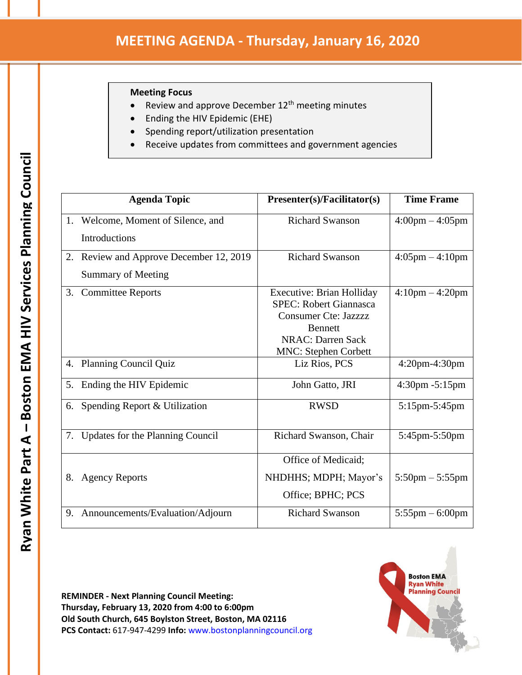## **Meeting Focus**

- Review and approve December 12<sup>th</sup> meeting minutes
- Ending the HIV Epidemic (EHE)
- Spending report/utilization presentation
- Receive updates from committees and government agencies

|    | <b>Agenda Topic</b>                     | Presenter(s)/Facilitator(s)                                                                                                                                                   | <b>Time Frame</b>                 |
|----|-----------------------------------------|-------------------------------------------------------------------------------------------------------------------------------------------------------------------------------|-----------------------------------|
|    | 1. Welcome, Moment of Silence, and      | <b>Richard Swanson</b>                                                                                                                                                        | $4:00 \text{pm} - 4:05 \text{pm}$ |
|    | <b>Introductions</b>                    |                                                                                                                                                                               |                                   |
|    | 2. Review and Approve December 12, 2019 | <b>Richard Swanson</b>                                                                                                                                                        | $4:05 \text{pm} - 4:10 \text{pm}$ |
|    | <b>Summary of Meeting</b>               |                                                                                                                                                                               |                                   |
| 3. | <b>Committee Reports</b>                | <b>Executive: Brian Holliday</b><br><b>SPEC: Robert Giannasca</b><br><b>Consumer Cte: Jazzzz</b><br><b>Bennett</b><br><b>NRAC: Darren Sack</b><br><b>MNC: Stephen Corbett</b> | $4:10 \text{pm} - 4:20 \text{pm}$ |
| 4. | <b>Planning Council Quiz</b>            | Liz Rios, PCS                                                                                                                                                                 | $4:20$ pm- $4:30$ pm              |
| 5. | Ending the HIV Epidemic                 | John Gatto, JRI                                                                                                                                                               | $4:30 \text{pm} - 5:15 \text{pm}$ |
| 6. | Spending Report & Utilization           | <b>RWSD</b>                                                                                                                                                                   | 5:15pm-5:45pm                     |
| 7. | Updates for the Planning Council        | Richard Swanson, Chair                                                                                                                                                        | 5:45pm-5:50pm                     |
|    |                                         | Office of Medicaid;                                                                                                                                                           |                                   |
| 8. | <b>Agency Reports</b>                   | NHDHHS; MDPH; Mayor's                                                                                                                                                         | $5:50 \text{pm} - 5:55 \text{pm}$ |
|    |                                         | Office; BPHC; PCS                                                                                                                                                             |                                   |
| 9. | Announcements/Evaluation/Adjourn        | <b>Richard Swanson</b>                                                                                                                                                        | $5:55$ pm $-6:00$ pm              |

**REMINDER - Next Planning Council Meeting: Thursday, February 13, 2020 from 4:00 to 6:00pm Old South Church, 645 Boylston Street, Boston, MA 02116 PCS Contact:** 617-947-4299 **Info:** www.bostonplanningcouncil.org